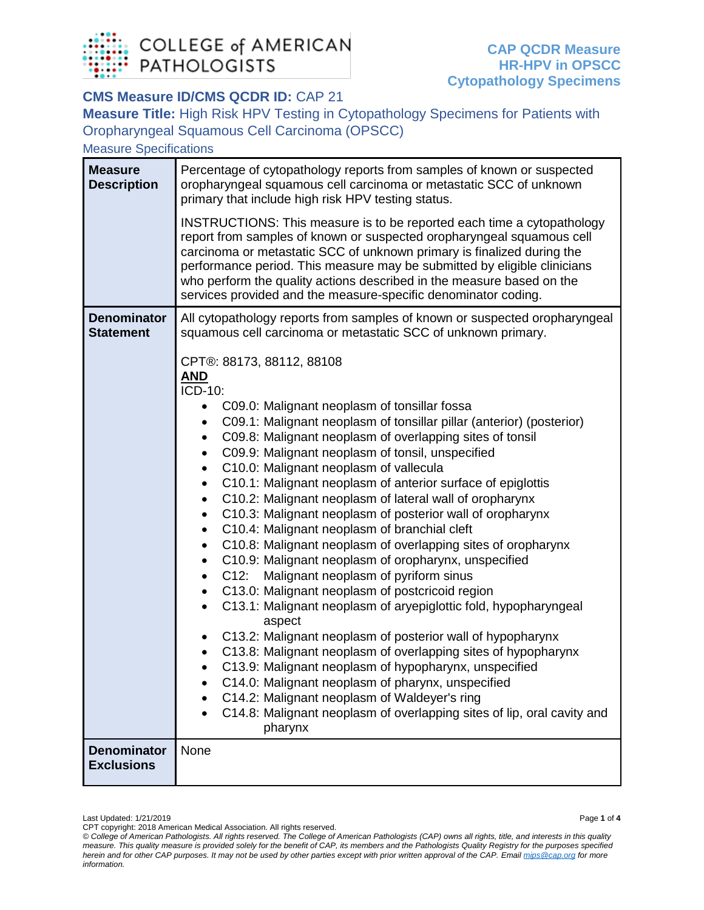

## **CMS Measure ID/CMS QCDR ID:** CAP 21

**Measure Title:** High Risk HPV Testing in Cytopathology Specimens for Patients with Oropharyngeal Squamous Cell Carcinoma (OPSCC)

Measure Specifications

| <b>Measure</b><br><b>Description</b>    | Percentage of cytopathology reports from samples of known or suspected<br>oropharyngeal squamous cell carcinoma or metastatic SCC of unknown<br>primary that include high risk HPV testing status.                                                                                                                                                                                                                                                                                                                                                                                                                                                                                                                                                                                                                                                                                                                                                                                                                                                                                                                                                                                                                                                                                                                                                                                      |
|-----------------------------------------|-----------------------------------------------------------------------------------------------------------------------------------------------------------------------------------------------------------------------------------------------------------------------------------------------------------------------------------------------------------------------------------------------------------------------------------------------------------------------------------------------------------------------------------------------------------------------------------------------------------------------------------------------------------------------------------------------------------------------------------------------------------------------------------------------------------------------------------------------------------------------------------------------------------------------------------------------------------------------------------------------------------------------------------------------------------------------------------------------------------------------------------------------------------------------------------------------------------------------------------------------------------------------------------------------------------------------------------------------------------------------------------------|
|                                         | INSTRUCTIONS: This measure is to be reported each time a cytopathology<br>report from samples of known or suspected oropharyngeal squamous cell<br>carcinoma or metastatic SCC of unknown primary is finalized during the<br>performance period. This measure may be submitted by eligible clinicians<br>who perform the quality actions described in the measure based on the<br>services provided and the measure-specific denominator coding.                                                                                                                                                                                                                                                                                                                                                                                                                                                                                                                                                                                                                                                                                                                                                                                                                                                                                                                                        |
| <b>Denominator</b><br><b>Statement</b>  | All cytopathology reports from samples of known or suspected oropharyngeal<br>squamous cell carcinoma or metastatic SCC of unknown primary.                                                                                                                                                                                                                                                                                                                                                                                                                                                                                                                                                                                                                                                                                                                                                                                                                                                                                                                                                                                                                                                                                                                                                                                                                                             |
|                                         | CPT®: 88173, 88112, 88108<br><u>AND</u><br>ICD-10:<br>C09.0: Malignant neoplasm of tonsillar fossa<br>C09.1: Malignant neoplasm of tonsillar pillar (anterior) (posterior)<br>C09.8: Malignant neoplasm of overlapping sites of tonsil<br>٠<br>C09.9: Malignant neoplasm of tonsil, unspecified<br>$\bullet$<br>C10.0: Malignant neoplasm of vallecula<br>$\bullet$<br>C10.1: Malignant neoplasm of anterior surface of epiglottis<br>$\bullet$<br>C10.2: Malignant neoplasm of lateral wall of oropharynx<br>C10.3: Malignant neoplasm of posterior wall of oropharynx<br>$\bullet$<br>C10.4: Malignant neoplasm of branchial cleft<br>$\bullet$<br>C10.8: Malignant neoplasm of overlapping sites of oropharynx<br>٠<br>C10.9: Malignant neoplasm of oropharynx, unspecified<br>C12:<br>Malignant neoplasm of pyriform sinus<br>$\bullet$<br>C13.0: Malignant neoplasm of postcricoid region<br>$\bullet$<br>C13.1: Malignant neoplasm of aryepiglottic fold, hypopharyngeal<br>$\bullet$<br>aspect<br>C13.2: Malignant neoplasm of posterior wall of hypopharynx<br>C13.8: Malignant neoplasm of overlapping sites of hypopharynx<br>C13.9: Malignant neoplasm of hypopharynx, unspecified<br>C14.0: Malignant neoplasm of pharynx, unspecified<br>C14.2: Malignant neoplasm of Waldeyer's ring<br>C14.8: Malignant neoplasm of overlapping sites of lip, oral cavity and<br>pharynx |
| <b>Denominator</b><br><b>Exclusions</b> | None                                                                                                                                                                                                                                                                                                                                                                                                                                                                                                                                                                                                                                                                                                                                                                                                                                                                                                                                                                                                                                                                                                                                                                                                                                                                                                                                                                                    |

Last Updated: 1/21/2019 Page **1** of **4**

CPT copyright: 2018 American Medical Association. All rights reserved.

*<sup>©</sup> College of American Pathologists. All rights reserved. The College of American Pathologists (CAP) owns all rights, title, and interests in this quality measure. This quality measure is provided solely for the benefit of CAP, its members and the Pathologists Quality Registry for the purposes specified herein and for other CAP purposes. It may not be used by other parties except with prior written approval of the CAP. Emai[l mips@cap.org](mailto:mips@cap.org) for more information.*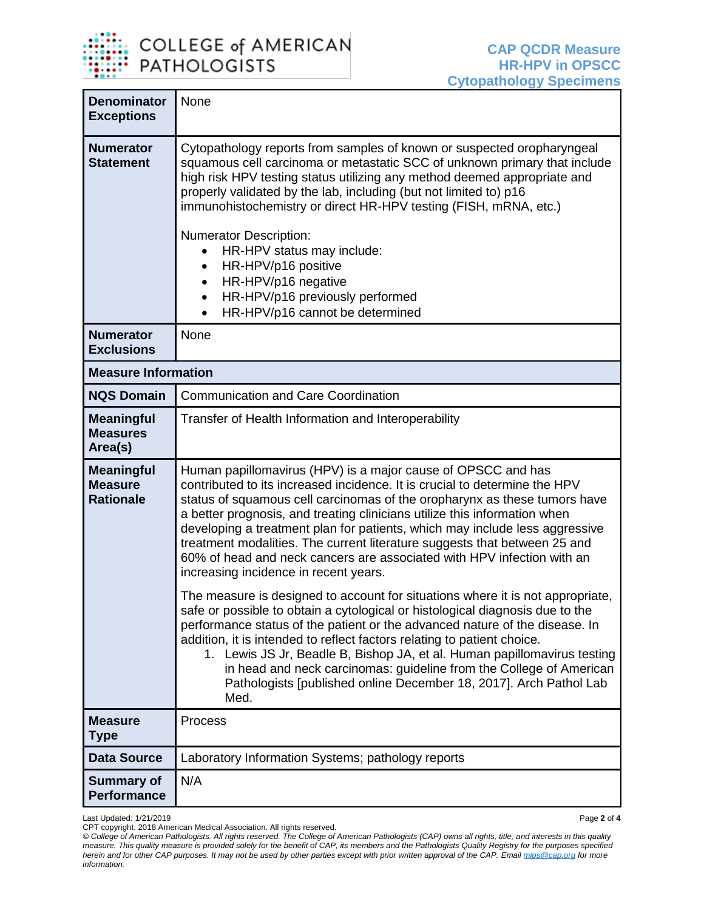

| <b>Denominator</b><br><b>Exceptions</b>                 | None                                                                                                                                                                                                                                                                                                                                                                                                                                                                                                                                                                                  |
|---------------------------------------------------------|---------------------------------------------------------------------------------------------------------------------------------------------------------------------------------------------------------------------------------------------------------------------------------------------------------------------------------------------------------------------------------------------------------------------------------------------------------------------------------------------------------------------------------------------------------------------------------------|
| <b>Numerator</b><br><b>Statement</b>                    | Cytopathology reports from samples of known or suspected oropharyngeal<br>squamous cell carcinoma or metastatic SCC of unknown primary that include<br>high risk HPV testing status utilizing any method deemed appropriate and<br>properly validated by the lab, including (but not limited to) p16<br>immunohistochemistry or direct HR-HPV testing (FISH, mRNA, etc.)<br><b>Numerator Description:</b><br>HR-HPV status may include:<br>HR-HPV/p16 positive<br>$\bullet$<br>HR-HPV/p16 negative<br>HR-HPV/p16 previously performed<br>HR-HPV/p16 cannot be determined<br>$\bullet$ |
| <b>Numerator</b><br><b>Exclusions</b>                   | None                                                                                                                                                                                                                                                                                                                                                                                                                                                                                                                                                                                  |
| <b>Measure Information</b>                              |                                                                                                                                                                                                                                                                                                                                                                                                                                                                                                                                                                                       |
| <b>NQS Domain</b>                                       | <b>Communication and Care Coordination</b>                                                                                                                                                                                                                                                                                                                                                                                                                                                                                                                                            |
| <b>Meaningful</b><br><b>Measures</b><br>Area(s)         | Transfer of Health Information and Interoperability                                                                                                                                                                                                                                                                                                                                                                                                                                                                                                                                   |
| <b>Meaningful</b><br><b>Measure</b><br><b>Rationale</b> | Human papillomavirus (HPV) is a major cause of OPSCC and has<br>contributed to its increased incidence. It is crucial to determine the HPV<br>status of squamous cell carcinomas of the oropharynx as these tumors have<br>a better prognosis, and treating clinicians utilize this information when<br>developing a treatment plan for patients, which may include less aggressive<br>treatment modalities. The current literature suggests that between 25 and<br>60% of head and neck cancers are associated with HPV infection with an<br>increasing incidence in recent years.   |
|                                                         | The measure is designed to account for situations where it is not appropriate,<br>safe or possible to obtain a cytological or histological diagnosis due to the<br>performance status of the patient or the advanced nature of the disease. In<br>addition, it is intended to reflect factors relating to patient choice.<br>1. Lewis JS Jr, Beadle B, Bishop JA, et al. Human papillomavirus testing<br>in head and neck carcinomas: guideline from the College of American<br>Pathologists [published online December 18, 2017]. Arch Pathol Lab<br>Med.                            |
| <b>Measure</b><br>Type                                  | Process                                                                                                                                                                                                                                                                                                                                                                                                                                                                                                                                                                               |
| <b>Data Source</b>                                      | Laboratory Information Systems; pathology reports                                                                                                                                                                                                                                                                                                                                                                                                                                                                                                                                     |
| <b>Summary of</b><br><b>Performance</b>                 | N/A                                                                                                                                                                                                                                                                                                                                                                                                                                                                                                                                                                                   |

Last Updated: 1/21/2019 Page **2** of **4**

CPT copyright: 2018 American Medical Association. All rights reserved.

*<sup>©</sup> College of American Pathologists. All rights reserved. The College of American Pathologists (CAP) owns all rights, title, and interests in this quality measure. This quality measure is provided solely for the benefit of CAP, its members and the Pathologists Quality Registry for the purposes specified herein and for other CAP purposes. It may not be used by other parties except with prior written approval of the CAP. Emai[l mips@cap.org](mailto:mips@cap.org) for more information.*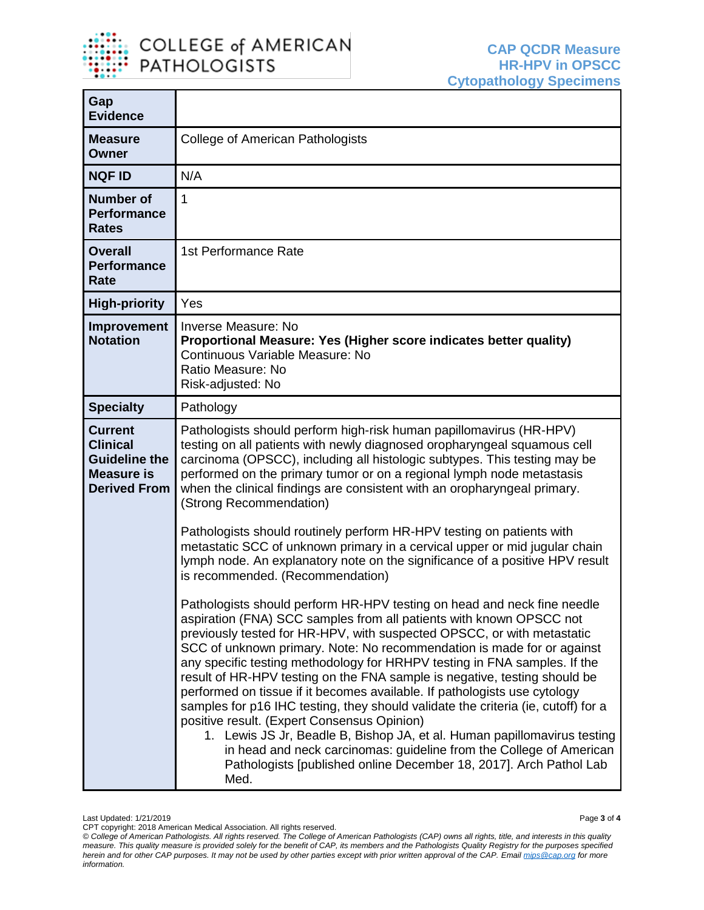

т

| Gap<br><b>Evidence</b>                                                                                |                                                                                                                                                                                                                                                                                                                                                                                                                                                                                                                                                                                                                                                                                                                                                                                                                                                                                                                |
|-------------------------------------------------------------------------------------------------------|----------------------------------------------------------------------------------------------------------------------------------------------------------------------------------------------------------------------------------------------------------------------------------------------------------------------------------------------------------------------------------------------------------------------------------------------------------------------------------------------------------------------------------------------------------------------------------------------------------------------------------------------------------------------------------------------------------------------------------------------------------------------------------------------------------------------------------------------------------------------------------------------------------------|
| <b>Measure</b><br><b>Owner</b>                                                                        | College of American Pathologists                                                                                                                                                                                                                                                                                                                                                                                                                                                                                                                                                                                                                                                                                                                                                                                                                                                                               |
| <b>NQF ID</b>                                                                                         | N/A                                                                                                                                                                                                                                                                                                                                                                                                                                                                                                                                                                                                                                                                                                                                                                                                                                                                                                            |
| <b>Number of</b><br><b>Performance</b><br><b>Rates</b>                                                | 1                                                                                                                                                                                                                                                                                                                                                                                                                                                                                                                                                                                                                                                                                                                                                                                                                                                                                                              |
| <b>Overall</b><br><b>Performance</b><br>Rate                                                          | 1st Performance Rate                                                                                                                                                                                                                                                                                                                                                                                                                                                                                                                                                                                                                                                                                                                                                                                                                                                                                           |
| <b>High-priority</b>                                                                                  | Yes                                                                                                                                                                                                                                                                                                                                                                                                                                                                                                                                                                                                                                                                                                                                                                                                                                                                                                            |
| <b>Improvement</b><br><b>Notation</b>                                                                 | Inverse Measure: No<br>Proportional Measure: Yes (Higher score indicates better quality)<br>Continuous Variable Measure: No<br>Ratio Measure: No<br>Risk-adjusted: No                                                                                                                                                                                                                                                                                                                                                                                                                                                                                                                                                                                                                                                                                                                                          |
| <b>Specialty</b>                                                                                      | Pathology                                                                                                                                                                                                                                                                                                                                                                                                                                                                                                                                                                                                                                                                                                                                                                                                                                                                                                      |
| <b>Current</b><br><b>Clinical</b><br><b>Guideline the</b><br><b>Measure is</b><br><b>Derived From</b> | Pathologists should perform high-risk human papillomavirus (HR-HPV)<br>testing on all patients with newly diagnosed oropharyngeal squamous cell<br>carcinoma (OPSCC), including all histologic subtypes. This testing may be<br>performed on the primary tumor or on a regional lymph node metastasis<br>when the clinical findings are consistent with an oropharyngeal primary.<br>(Strong Recommendation)                                                                                                                                                                                                                                                                                                                                                                                                                                                                                                   |
|                                                                                                       | Pathologists should routinely perform HR-HPV testing on patients with<br>metastatic SCC of unknown primary in a cervical upper or mid jugular chain<br>lymph node. An explanatory note on the significance of a positive HPV result<br>is recommended. (Recommendation)                                                                                                                                                                                                                                                                                                                                                                                                                                                                                                                                                                                                                                        |
|                                                                                                       | Pathologists should perform HR-HPV testing on head and neck fine needle<br>aspiration (FNA) SCC samples from all patients with known OPSCC not<br>previously tested for HR-HPV, with suspected OPSCC, or with metastatic<br>SCC of unknown primary. Note: No recommendation is made for or against<br>any specific testing methodology for HRHPV testing in FNA samples. If the<br>result of HR-HPV testing on the FNA sample is negative, testing should be<br>performed on tissue if it becomes available. If pathologists use cytology<br>samples for p16 IHC testing, they should validate the criteria (ie, cutoff) for a<br>positive result. (Expert Consensus Opinion)<br>1. Lewis JS Jr, Beadle B, Bishop JA, et al. Human papillomavirus testing<br>in head and neck carcinomas: guideline from the College of American<br>Pathologists [published online December 18, 2017]. Arch Pathol Lab<br>Med. |

CPT copyright: 2018 American Medical Association. All rights reserved. *© College of American Pathologists. All rights reserved. The College of American Pathologists (CAP) owns all rights, title, and interests in this quality measure. This quality measure is provided solely for the benefit of CAP, its members and the Pathologists Quality Registry for the purposes specified herein and for other CAP purposes. It may not be used by other parties except with prior written approval of the CAP. Emai[l mips@cap.org](mailto:mips@cap.org) for more information.*